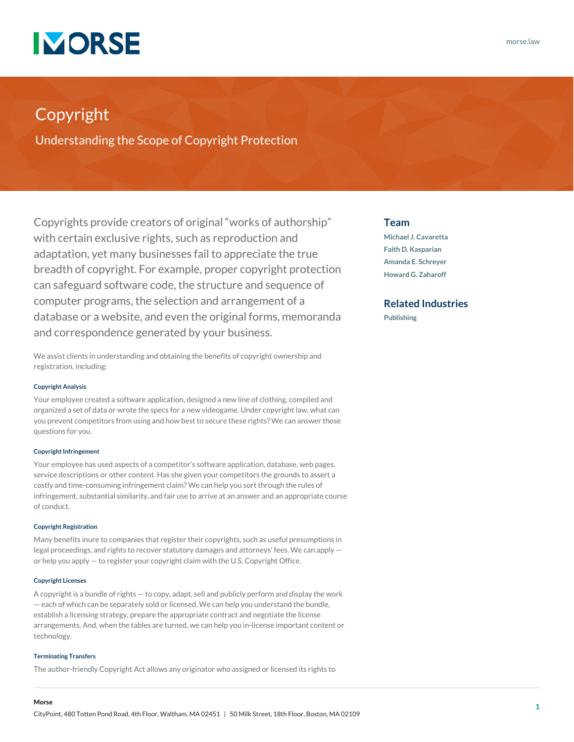

# Copyright

Understanding the Scope of Copyright Protection

Copyrights provide creators of original "works of authorship" with certain exclusive rights, such as reproduction and adaptation, yet many businesses fail to appreciate the true breadth of copyright. For example, proper copyright protection can safeguard software code, the structure and sequence of computer programs, the selection and arrangement of a database or a website, and even the original forms, memoranda and correspondence generated by your business.

We assist clients in understanding and obtaining the benefits of copyright ownership and registration, including:

#### **Copyright Analysis**

Your employee created a software application, designed a new line of clothing, compiled and organized a set of data or wrote the specs for a new videogame. Under copyright law, what can you prevent competitors from using and how best to secure these rights? We can answer those questions for you.

#### **Copyright Infringement**

Your employee has used aspects of a competitor's software application, database, web pages, service descriptions or other content. Has she given your competitors the grounds to assert a costly and time-consuming infringement claim? We can help you sort through the rules of infringement, substantial similarity, and fair use to arrive at an answer and an appropriate course of conduct.

#### **Copyright Registration**

Many benefits inure to companies that register their copyrights, such as useful presumptions in legal proceedings, and rights to recover statutory damages and attorneys' fees. We can apply or help you apply — to register your copyright claim with the U.S. Copyright Office.

#### **Copyright Licenses**

A copyright is a bundle of rights — to copy, adapt, sell and publicly perform and display the work — each of which can be separately sold or licensed. We can help you understand the bundle, establish a licensing strategy, prepare the appropriate contract and negotiate the license arrangements. And, when the tables are turned, we can help you in-license important content or technology.

#### **Terminating Transfers**

The author-friendly Copyright Act allows any originator who assigned or licensed its rights to

### **Team**

**[Michael J. Cavaretta](https://www.morse.law/attorney/michael-cavaretta/) [Faith D. Kasparian](https://www.morse.law/attorney/faith-kasparian/) [Amanda E. Schreyer](https://www.morse.law/attorney/amanda-schreyer/) [Howard G. Zaharoff](https://www.morse.law/attorney/howard-zaharoff/)**

## **Related Industries**

**[Publishing](https://www.morse.law/industry/publishing/)**